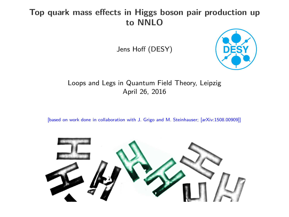# **Top quark mass effects in Higgs boson pair production up to NNLO**

Jens Hoff (DESY)



#### Loops and Legs in Quantum Field Theory, Leipzig April 26, 2016

[based on work done in collaboration with J. Grigo and M. Steinhauser; [arXiv:1508.00909]]

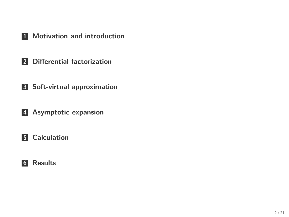- **[Motivation and introduction](#page-2-0)**
- **[Differential factorization](#page-6-0)**
- **[Soft-virtual approximation](#page-7-0)**
- **[Asymptotic expansion](#page-8-0)**

### **[Calculation](#page-10-0)**

### **[Results](#page-15-0)**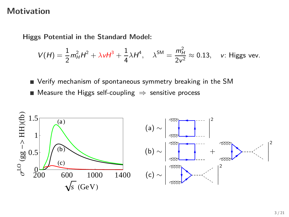## **Motivation**

**Higgs Potential in the Standard Model:**

$$
V(H) = \frac{1}{2}m_H^2H^2 + \lambda vH^3 + \frac{1}{4}\lambda H^4, \quad \lambda^{SM} = \frac{m_H^2}{2v^2} \approx 0.13, \quad v: \text{ Higgs vev.}
$$

<span id="page-2-0"></span>Verify mechanism of spontaneous symmetry breaking in the SM ■ Measure the Higgs self-coupling  $\Rightarrow$  sensitive process

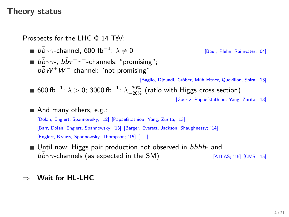## **Theory status**

Prospects for the LHC @ 14 TeV:

**b** $\overline{b}$ *γ*γ-channel, 600 fb<sup>-1</sup>:  $\lambda \neq 0$ [Baur, Plehn, Rainwater; '04]  $b\bar{b}\gamma\gamma$ -,  $b\bar{b}\tau^+\tau^-$ -channels: "promising";  $b\bar{b}W^{+}W^{-}$ -channel: "not promising" [Baglio, Djouadi, Gröber, Mühlleitner, Quevillon, Spira; '13]  $600\,{\rm fb}^{-1}$ :  $\lambda > 0$ ; 3000 fb $^{-1}$ :  $\lambda^{+30\%}_{-20\%}$  (ratio with Higgs cross section) [Goertz, Papaefstathiou, Yang, Zurita; '13] And many others, e.g.: [Dolan, Englert, Spannowsky; '12] [Papaefstathiou, Yang, Zurita; '13] [Barr, Dolan, Englert, Spannowsky; '13] [Barger, Everett, Jackson, Shaughnessy; '14] [Englert, Krauss, Spannowsky, Thompson; '15] [. . . ]

Until now: Higgs pair production not observed in  $b\bar{b}b\bar{b}$ - and  $bb\gamma\gamma$ -channels (as expected in the SM) [ATLAS; '15] [CMS; '15]

#### ⇒ **Wait for HL-LHC**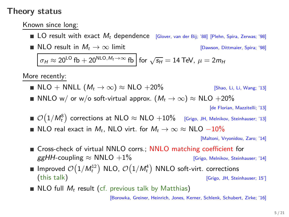### **Theory status**

Known since long:

**LO** result with exact  $M_t$  dependence [Glover, van der Bij; '88] [Plehn, Spira, Zerwas; '98] **NLO** result in  $M_t \to \infty$  limit [Dawson, Dittmaier, Spira; '98]

 $\sigma_H \approx 20^{\text{LO}}$  fb  $+ 20^{\text{NLO}, M_t \to \infty}$  fb for  $\sqrt{s_H} = 14$  TeV,  $\mu = 2m_H$ 

More recently:

■ NLO  $+$  NNLL  $(M_t \rightarrow \infty) \approx$  NLO  $+20\%$  [Shao, Li, Li, Wang; '13] ■ NNLO w/ or w/o soft-virtual approx.  $(M_t \to \infty) \approx NLO + 20\%$ 

[de Florian, Mazzitelli; '13]

- $\mathcal{O}\big(1/M_t^8\big)$  corrections at NLO  $\approx$  NLO  $+10\%$  [Grigo, JH, Melnikov, Steinhauser; '13]
- NLO real exact in  $M_t$ , NLO virt. for  $M_t \to \infty \approx NLO 10\%$

[Maltoni, Vryonidou, Zaro; '14]

- Cross-check of virtual NNLO corrs.; NNLO matching coefficient for  $ggHH$ -coupling  $\approx$  NNLO  $+1\%$  [Grigo, Melnikov, Steinhauser; '14]
- Improved  $\mathcal{O}(1/M_t^{12})$  NLO,  $\mathcal{O}(1/M_t^4)$  NNLO soft-virt. corrections (this talk) [Grigo, JH, Steinhauser; 15']
- NLO full  $M_t$  result (cf. previous talk by Matthias)

[Borowka, Greiner, Heinrich, Jones, Kerner, Schlenk, Schubert, Zirke; '16]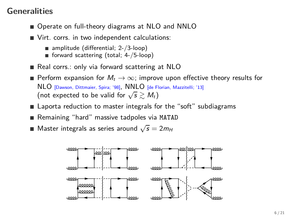# **Generalities**

- Operate on full-theory diagrams at NLO and NNLO
- Virt. corrs. in two independent calculations:
	- $\blacksquare$  amplitude (differential; 2-/3-loop)
	- forward scattering (total; 4-/5-loop)
- Real corrs.: only via forward scattering at NLO
- Perform expansion for  $M_t \to \infty$ ; improve upon effective theory results for NLO [Dawson, Dittmaier, Spira; '98], NNLO [de Florian, Mazzitelli; '13] (not expected to be valid for  $\sqrt{s} \gtrsim M_t$ )
- **Example 2** Laporta reduction to master integrals for the "soft" subdiagrams
- Remaining "hard" massive tadpoles via MATAD
- Master integrals as series around  $\sqrt{s} = 2m_H$

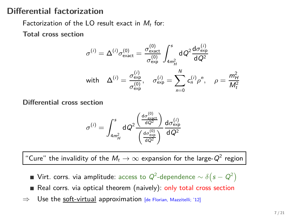# **Differential factorization**

Factorization of the LO result exact in  $M_t$  for:

**Total cross section**

$$
\sigma^{(i)} = \Delta^{(i)} \sigma_{\text{exact}}^{(0)} = \frac{\sigma_{\text{exact}}^{(0)}}{\sigma_{\text{exp}}^{(0)}} \int_{4m_H^2}^s dQ^2 \frac{d\sigma_{\text{exp}}^{(i)}}{dQ^2}
$$
\nwith 
$$
\Delta^{(i)} = \frac{\sigma_{\text{exp}}^{(i)}}{\sigma_{\text{exp}}^{(0)}}, \quad \sigma_{\text{exp}}^{(i)} = \sum_{n=0}^N c_n^{(i)} \rho^n, \quad \rho = \frac{m_H^2}{M_t^2}
$$

**Differential cross section**

<span id="page-6-0"></span>
$$
\sigma^{(i)} = \int_{4m_H^2}^s dQ^2 \frac{\left(\frac{d\sigma_{\text{ex}}^{(0)}}{dQ^2}\right)}{\left(\frac{d\sigma_{\text{ex}}^{(0)}}{dQ^2}\right)} \frac{d\sigma_{\text{exp}}^{(i)}}{dQ^2}
$$

"Cure" the invalidity of the  $M_t\to\infty$  expansion for the large- $Q^2$  region

- Virt. corrs. via amplitude: access to  $Q^2$ -dependence  $\sim \delta\!\left(s Q^2\right)$
- Real corrs. via optical theorem (naively): only total cross section
- $\Rightarrow$  Use the soft-virtual approximation [de Florian, Mazzitelli; '12]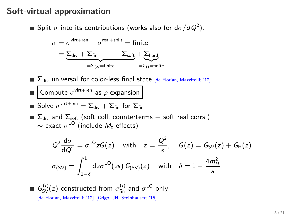### **Soft-virtual approximation**

Split *σ* into its contributions (works also for d*σ/*dQ<sup>2</sup> ):

$$
\sigma = \sigma^{\text{virt+ren}} + \sigma^{\text{real+split}} = \text{finite}
$$

$$
= \underbrace{\Sigma_{\text{div}} + \Sigma_{\text{fin}} + \Sigma_{\text{soft}} + \Sigma_{\text{hard}}}_{=\Sigma_{\text{sy}} = \text{finite}} + \underbrace{\Sigma_{\text{hard}}}{=\Sigma_{\text{H}} = \text{finite}}
$$

 $\blacksquare$   $\Sigma_{\text{div}}$  universal for color-less final state [de Florian, Mazzitelli; '12]

Compute  $\sigma^{\text{virt+ren}}$  as  $\rho$ -expansion п

Solve  $\sigma^{\mathsf{virt+ren}} = \Sigma_{\mathsf{div}} + \Sigma_{\mathsf{fin}}$  for  $\Sigma_{\mathsf{fin}}$ 

 $\blacksquare$  Σ<sub>div</sub> and Σ<sub>soft</sub> (soft coll. counterterms + soft real corrs.)  $\sim$  exact  $\sigma^{\textsf{LO}}$  (include  $M_t$  effects)

<span id="page-7-0"></span>
$$
Q^{2} \frac{d\sigma}{dQ^{2}} = \sigma^{LO} zG(z) \quad \text{with} \quad z = \frac{Q^{2}}{s}, \quad G(z) = G_{SV}(z) + G_{H}(z)
$$

$$
\sigma_{(SV)} = \int_{1-\delta}^{1} dz \sigma^{LO}(zs) G_{(SV)}(z) \quad \text{with} \quad \delta = 1 - \frac{4m_{H}^{2}}{s}
$$

 $G_{SV}^{(i)}(z)$  constructed from  $\sigma_{fin}^{(i)}$  and  $\sigma^{LO}$  only [de Florian, Mazzitelli; '12] [Grigo, JH, Steinhauser; '15]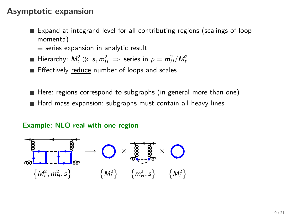### **Asymptotic expansion**

- Expand at integrand level for all contributing regions (scalings of loop momenta)
	- ≡ series expansion in analytic result
- Hierarchy:  $M_t^2 \gg s$ ,  $m_H^2 \Rightarrow$  series in  $\rho = m_H^2/M_t^2$
- Effectively reduce number of loops and scales
- Here: regions correspond to subgraphs (in general more than one)
- Hard mass expansion: subgraphs must contain all heavy lines

#### <span id="page-8-0"></span>**Example: NLO real with one region**

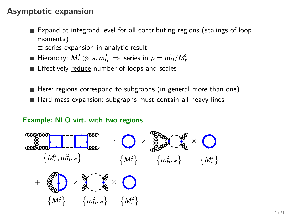## **Asymptotic expansion**

- Expand at integrand level for all contributing regions (scalings of loop momenta)
	- $\equiv$  series expansion in analytic result
- Hierarchy:  $M_t^2 \gg s$ ,  $m_H^2 \Rightarrow$  series in  $\rho = m_H^2/M_t^2$
- Effectively reduce number of loops and scales
- Here: regions correspond to subgraphs (in general more than one) Hard mass expansion: subgraphs must contain all heavy lines

#### **Example: NLO virt. with two regions**

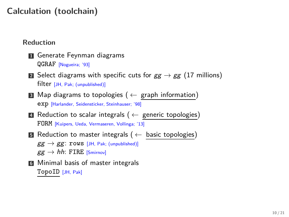# **Calculation (toolchain)**

#### **Reduction**

- **1** Generate Feynman diagrams QGRAF [Nogueira; '93]
- **2** Select diagrams with specific cuts for  $gg \to gg$  (17 millions) filter [JH, Pak; (unpublished)]
- **<sup>3</sup>** Map diagrams to topologies ( ← graph information) exp [Harlander, Seidensticker, Steinhauser; '98]
- **<sup>4</sup>** Reduction to scalar integrals ( ← generic topologies) FORM [Kuipers, Ueda, Vermaseren, Vollinga; '13]
- **<sup>5</sup>** Reduction to master integrals ( ← basic topologies)  $gg \rightarrow gg$ : rows [JH, Pak; (unpublished)]  $gg \to hh$ : FIRE [Smirnov]
- <span id="page-10-0"></span>**6** Minimal basis of master integrals TopoID [JH, Pak]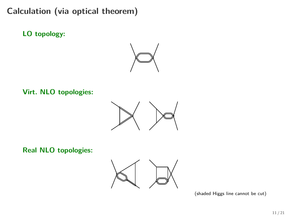**LO topology:**



**Virt. NLO topologies:**



**Real NLO topologies:**



(shaded Higgs line cannot be cut)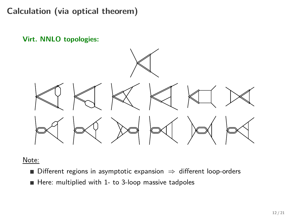**Virt. NNLO topologies:**



Note:

- Different regions in asymptotic expansion  $\Rightarrow$  different loop-orders
- $\blacksquare$  Here: multiplied with 1- to 3-loop massive tadpoles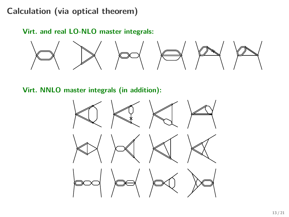**Virt. and real LO-NLO master integrals:**



**Virt. NNLO master integrals (in addition):**

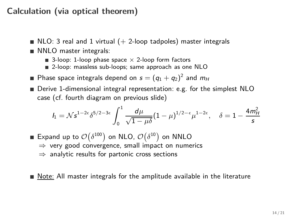- $\blacksquare$  NLO: 3 real and 1 virtual ( $+$  2-loop tadpoles) master integrals
- NNLO master integrals:
	- 3-loop: 1-loop phase space  $\times$  2-loop form factors
	- 2-loop: massless sub-loops; same approach as one NLO

Phase space integrals depend on  $s=(q_1+q_2)^2$  and  $m_{H}$ 

■ Derive 1-dimensional integral representation: e.g. for the simplest NLO case (cf. fourth diagram on previous slide)

$$
I_1 = N s^{1-2\epsilon} \delta^{5/2-3\epsilon} \int_0^1 \frac{d\mu}{\sqrt{1-\mu\delta}} (1-\mu)^{1/2-\epsilon} \mu^{1-2\epsilon}, \quad \delta = 1 - \frac{4m_H^2}{s}
$$

Expand up to  $\mathcal{O}\big(\delta^{100}\big)$  on NLO,  $\mathcal{O}\big(\delta^{10}\big)$  on NNLO  $\Rightarrow$  very good convergence, small impact on numerics  $\Rightarrow$  analytic results for partonic cross sections

Note: All master integrals for the amplitude available in the literature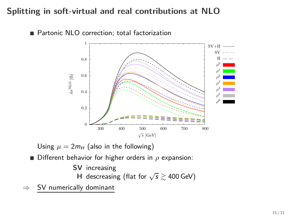# **Splitting in soft-virtual and real contributions at NLO**

■ Partonic NLO correction; total factorization



Using  $\mu = 2m_H$  (also in the following)

Different behavior for higher orders in *ρ* expansion:

**SV** increasing

<span id="page-15-0"></span>**H** descreasing (flat for  $\sqrt{s} \gtrsim 400$  GeV)

 $\Rightarrow$  SV numerically dominant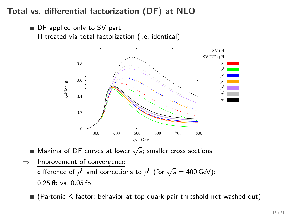# **Total vs. differential factorization (DF) at NLO**

■ DF applied only to SV part; H treated via total factorization (i.e. identical)



Maxima of DF curves at lower  $\sqrt{s}$ ; smaller cross sections

 $\Rightarrow$  Improvement of convergence: difference of  $\rho^0$  and corrections to  $\rho^6$  (for  $\sqrt{s} = 400$  GeV): 0*.*25 fb vs. 0*.*05 fb

(Partonic K-factor: behavior at top quark pair threshold not washed out)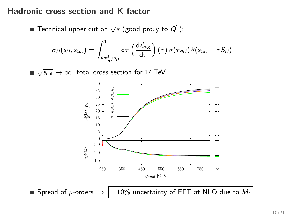## **Hadronic cross section and K-factor**

Technical upper cut on  $\sqrt{s}$  (good proxy to  $Q^2$ ):

$$
\sigma_H(s_H, s_{\rm cut}) = \int_{4m_H^2/s_H}^{1} d\tau \left(\frac{d\mathcal{L}_{gg}}{d\tau}\right)(\tau) \sigma(\tau s_H) \theta(s_{\rm cut} - \tau S_H)
$$

 $\sqrt{s_{\rm cut}} \rightarrow \infty$ : total cross section for 14 TeV



■ Spread of  $\rho$ -orders  $\Rightarrow$   $\pm 10\%$  uncertainty of EFT at NLO due to  $M_t$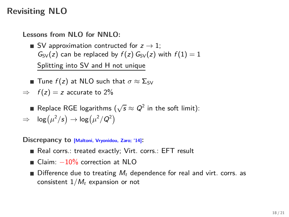# **Revisiting NLO**

**Lessons from NLO for NNLO:**

- SV approximation contructed for  $z \rightarrow 1$ ;  $G_{SV}(z)$  can be replaced by  $f(z) G_{SV}(z)$  with  $f(1) = 1$ Splitting into SV and H not unique
- **■** Tune  $f(z)$  at NLO such that  $σ ≈ Σ$ <sub>SV</sub>
- $\Rightarrow$   $f(z) = z$  accurate to 2%
	- Replace RGE logarithms  $(\sqrt{s} \approx Q^2)$  in the soft limit):

 $\Rightarrow$   $\log(\mu^2/s) \rightarrow \log(\mu^2/Q^2)$ 

**Discrepancy to [Maltoni, Vryonidou, Zaro; '14]:**

- Real corrs.: treated exactly; Virt. corrs.: EFT result
- Claim: -10% correction at NLO
- $\blacksquare$  Difference due to treating  $M_t$  dependence for real and virt. corrs. as consistent  $1/M_t$  expansion or not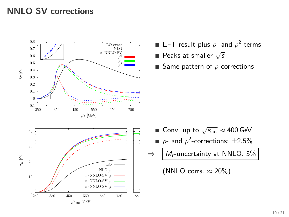# **NNLO SV corrections**



- EFT result plus  $\rho$  and  $\rho^2$ -terms
- Peaks at smaller  $\sqrt{s}$
- Same pattern of *ρ*-corrections

- Conv. up to  $\sqrt{s_{\rm cut}} \approx 400$  GeV
- $\rho$  and  $\rho^2$ -corrections:  $\pm 2.5\%$
- $\Rightarrow$  M<sub>t</sub>-uncertainty at NNLO: 5%

(NNLO corrs.  $\approx 20\%$ )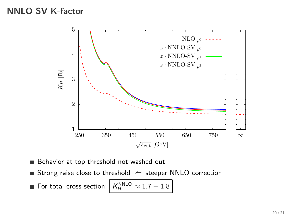## **NNLO SV K-factor**



Behavior at top threshold not washed out

Strong raise close to threshold  $\Leftarrow$  steeper NNLO correction

 $\blacksquare$  For total cross section:  $K_H^{\text{NNLO}}$  $≈ 1.7 - 1.8$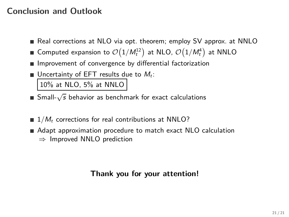# **Conclusion and Outlook**

- Real corrections at NLO via opt. theorem; employ SV approx. at NNLO
- Computed expansion to  $\mathcal{O}\big(1/M_t^{12}\big)$  at NLO,  $\mathcal{O}\big(1/M_t^4\big)$  at NNLO
- **Improvement of convergence by differential factorization**
- Uncertainty of EFT results due to  $M_t$ :

10% at NLO, 5% at NNLO

- Small- $\sqrt{s}$  behavior as benchmark for exact calculations
- $\blacksquare$  1/ $M_t$  corrections for real contributions at NNLO?
- Adapt approximation procedure to match exact NLO calculation  $\Rightarrow$  Improved NNLO prediction

# **Thank you for your attention!**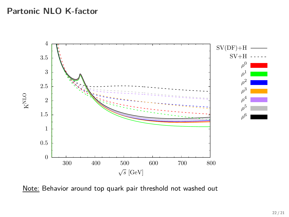## **Partonic NLO K-factor**



Note: Behavior around top quark pair threshold not washed out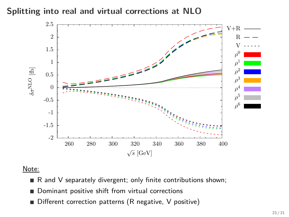**Splitting into real and virtual corrections at NLO**



#### Note:

- $\blacksquare$  R and V separately divergent; only finite contributions shown;
- Dominant positive shift from virtual corrections
- Different correction patterns (R negative, V positive)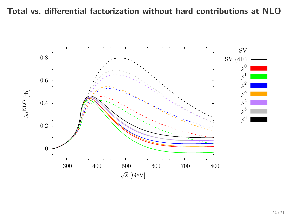# **Total vs. differential factorization without hard contributions at NLO**